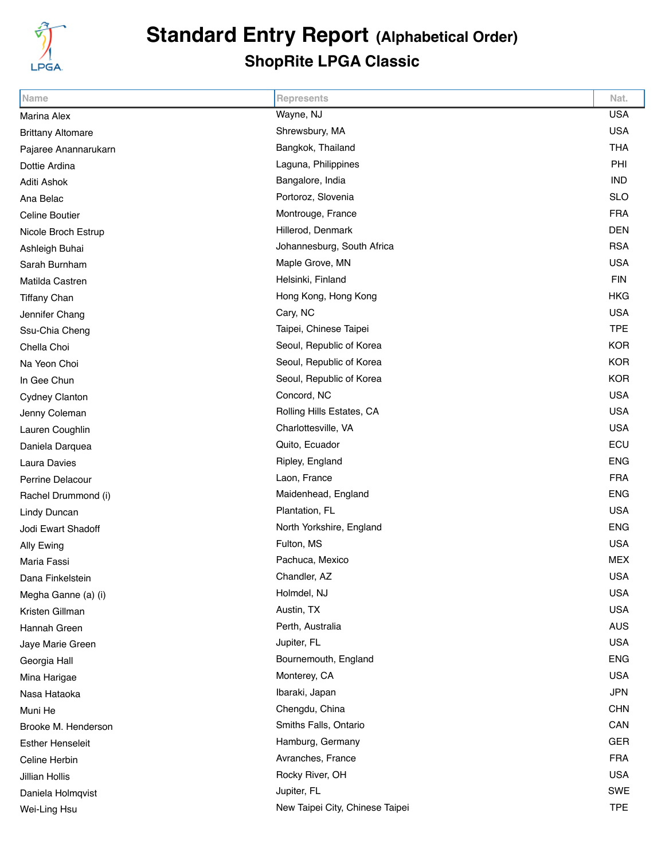

## **Standard Entry Report (Alphabetical Order) ShopRite LPGA Classic**

| Name                     | <b>Represents</b>               | Nat.       |
|--------------------------|---------------------------------|------------|
| <b>Marina Alex</b>       | Wayne, NJ                       | <b>USA</b> |
| <b>Brittany Altomare</b> | Shrewsbury, MA                  | <b>USA</b> |
| Pajaree Anannarukarn     | Bangkok, Thailand               | <b>THA</b> |
| Dottie Ardina            | Laguna, Philippines             | PHI        |
| Aditi Ashok              | Bangalore, India                | <b>IND</b> |
| Ana Belac                | Portoroz, Slovenia              | <b>SLO</b> |
| <b>Celine Boutier</b>    | Montrouge, France               | <b>FRA</b> |
| Nicole Broch Estrup      | Hillerod, Denmark               | <b>DEN</b> |
| Ashleigh Buhai           | Johannesburg, South Africa      | <b>RSA</b> |
| Sarah Burnham            | Maple Grove, MN                 | <b>USA</b> |
| Matilda Castren          | Helsinki, Finland               | <b>FIN</b> |
| <b>Tiffany Chan</b>      | Hong Kong, Hong Kong            | <b>HKG</b> |
| Jennifer Chang           | Cary, NC                        | <b>USA</b> |
| Ssu-Chia Cheng           | Taipei, Chinese Taipei          | <b>TPE</b> |
| Chella Choi              | Seoul, Republic of Korea        | <b>KOR</b> |
| Na Yeon Choi             | Seoul, Republic of Korea        | <b>KOR</b> |
| In Gee Chun              | Seoul, Republic of Korea        | <b>KOR</b> |
| Cydney Clanton           | Concord, NC                     | <b>USA</b> |
| Jenny Coleman            | Rolling Hills Estates, CA       | <b>USA</b> |
| Lauren Coughlin          | Charlottesville, VA             | <b>USA</b> |
| Daniela Darquea          | Quito, Ecuador                  | ECU        |
| Laura Davies             | Ripley, England                 | <b>ENG</b> |
| Perrine Delacour         | Laon, France                    | <b>FRA</b> |
| Rachel Drummond (i)      | Maidenhead, England             | <b>ENG</b> |
| Lindy Duncan             | Plantation, FL                  | <b>USA</b> |
| Jodi Ewart Shadoff       | North Yorkshire, England        | <b>ENG</b> |
| Ally Ewing               | Fulton, MS                      | <b>USA</b> |
| Maria Fassi              | Pachuca, Mexico                 | <b>MEX</b> |
| Dana Finkelstein         | Chandler, AZ                    | USA        |
| Megha Ganne (a) (i)      | Holmdel, NJ                     | <b>USA</b> |
| Kristen Gillman          | Austin, TX                      | <b>USA</b> |
| Hannah Green             | Perth, Australia                | <b>AUS</b> |
| Jaye Marie Green         | Jupiter, FL                     | <b>USA</b> |
| Georgia Hall             | Bournemouth, England            | <b>ENG</b> |
| Mina Harigae             | Monterey, CA                    | <b>USA</b> |
| Nasa Hataoka             | Ibaraki, Japan                  | <b>JPN</b> |
| Muni He                  | Chengdu, China                  | <b>CHN</b> |
| Brooke M. Henderson      | Smiths Falls, Ontario           | CAN        |
| <b>Esther Henseleit</b>  | Hamburg, Germany                | GER        |
| Celine Herbin            | Avranches, France               | <b>FRA</b> |
| <b>Jillian Hollis</b>    | Rocky River, OH                 | <b>USA</b> |
| Daniela Holmqvist        | Jupiter, FL                     | SWE        |
| Wei-Ling Hsu             | New Taipei City, Chinese Taipei | <b>TPE</b> |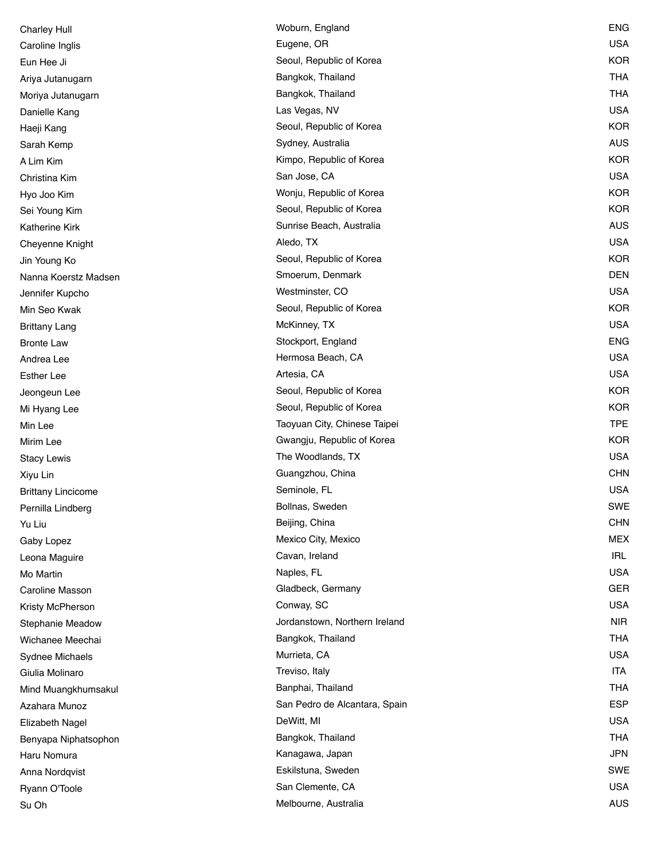| <b>Charley Hull</b>       | Woburn, England               | ENG        |
|---------------------------|-------------------------------|------------|
| Caroline Inglis           | Eugene, OR                    | <b>USA</b> |
| Eun Hee Ji                | Seoul, Republic of Korea      | <b>KOR</b> |
| Ariya Jutanugarn          | Bangkok, Thailand             | <b>THA</b> |
| Moriya Jutanugarn         | Bangkok, Thailand             | <b>THA</b> |
| Danielle Kang             | Las Vegas, NV                 | <b>USA</b> |
| Haeji Kang                | Seoul, Republic of Korea      | <b>KOR</b> |
| Sarah Kemp                | Sydney, Australia             | <b>AUS</b> |
| A Lim Kim                 | Kimpo, Republic of Korea      | <b>KOR</b> |
| Christina Kim             | San Jose, CA                  | <b>USA</b> |
| Hyo Joo Kim               | Wonju, Republic of Korea      | <b>KOR</b> |
| Sei Young Kim             | Seoul, Republic of Korea      | <b>KOR</b> |
| <b>Katherine Kirk</b>     | Sunrise Beach, Australia      | <b>AUS</b> |
| Cheyenne Knight           | Aledo, TX                     | <b>USA</b> |
| Jin Young Ko              | Seoul, Republic of Korea      | <b>KOR</b> |
| Nanna Koerstz Madsen      | Smoerum, Denmark              | <b>DEN</b> |
| Jennifer Kupcho           | Westminster, CO               | <b>USA</b> |
| Min Seo Kwak              | Seoul, Republic of Korea      | <b>KOR</b> |
| <b>Brittany Lang</b>      | McKinney, TX                  | <b>USA</b> |
| <b>Bronte Law</b>         | Stockport, England            | <b>ENG</b> |
| Andrea Lee                | Hermosa Beach, CA             | <b>USA</b> |
| <b>Esther Lee</b>         | Artesia, CA                   | <b>USA</b> |
| Jeongeun Lee              | Seoul, Republic of Korea      | <b>KOR</b> |
| Mi Hyang Lee              | Seoul, Republic of Korea      | <b>KOR</b> |
| Min Lee                   | Taoyuan City, Chinese Taipei  | <b>TPE</b> |
| Mirim Lee                 | Gwangju, Republic of Korea    | <b>KOR</b> |
| <b>Stacy Lewis</b>        | The Woodlands, TX             | <b>USA</b> |
| Xiyu Lin                  | Guangzhou, China              | <b>CHN</b> |
| <b>Brittany Lincicome</b> | Seminole, FL                  | <b>USA</b> |
| Pernilla Lindberg         | Bollnas, Sweden               | <b>SWE</b> |
| Yu Liu                    | Beijing, China                | <b>CHN</b> |
| Gaby Lopez                | Mexico City, Mexico           | <b>MEX</b> |
| Leona Maguire             | Cavan, Ireland                | <b>IRL</b> |
| Mo Martin                 | Naples, FL                    | <b>USA</b> |
| Caroline Masson           | Gladbeck, Germany             | <b>GER</b> |
| Kristy McPherson          | Conway, SC                    | <b>USA</b> |
| Stephanie Meadow          | Jordanstown, Northern Ireland | <b>NIR</b> |
| Wichanee Meechai          | Bangkok, Thailand             | <b>THA</b> |
| Sydnee Michaels           | Murrieta, CA                  | <b>USA</b> |
| Giulia Molinaro           | Treviso, Italy                | <b>ITA</b> |
| Mind Muangkhumsakul       | Banphai, Thailand             | <b>THA</b> |
| Azahara Munoz             | San Pedro de Alcantara, Spain | <b>ESP</b> |
| <b>Elizabeth Nagel</b>    | DeWitt, MI                    | <b>USA</b> |
| Benyapa Niphatsophon      | Bangkok, Thailand             | <b>THA</b> |
| Haru Nomura               | Kanagawa, Japan               | <b>JPN</b> |
| Anna Nordqvist            | Eskilstuna, Sweden            | <b>SWE</b> |
| Ryann O'Toole             | San Clemente, CA              | <b>USA</b> |
| Su Oh                     | Melbourne, Australia          | <b>AUS</b> |
|                           |                               |            |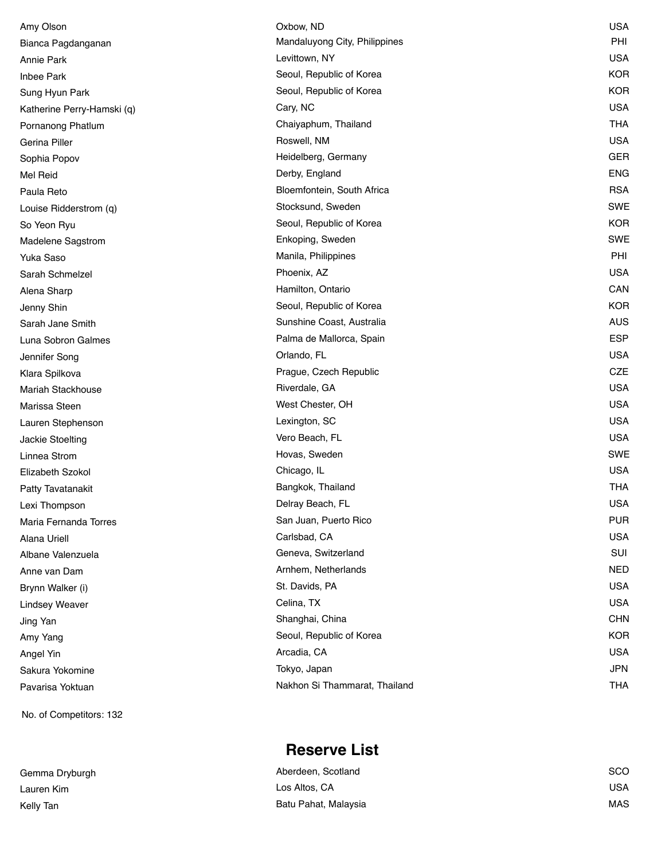| Amy Olson                  | Oxbow, ND                     | <b>USA</b> |
|----------------------------|-------------------------------|------------|
| Bianca Pagdanganan         | Mandaluyong City, Philippines | PHI        |
| Annie Park                 | Levittown, NY                 | <b>USA</b> |
| <b>Inbee Park</b>          | Seoul, Republic of Korea      | <b>KOR</b> |
| Sung Hyun Park             | Seoul, Republic of Korea      | <b>KOR</b> |
| Katherine Perry-Hamski (q) | Cary, NC                      | <b>USA</b> |
| Pornanong Phatlum          | Chaiyaphum, Thailand          | <b>THA</b> |
| Gerina Piller              | Roswell, NM                   | <b>USA</b> |
| Sophia Popov               | Heidelberg, Germany           | <b>GER</b> |
| Mel Reid                   | Derby, England                | <b>ENG</b> |
| Paula Reto                 | Bloemfontein, South Africa    | <b>RSA</b> |
| Louise Ridderstrom (q)     | Stocksund, Sweden             | <b>SWE</b> |
| So Yeon Ryu                | Seoul, Republic of Korea      | <b>KOR</b> |
| Madelene Sagstrom          | Enkoping, Sweden              | <b>SWE</b> |
| Yuka Saso                  | Manila, Philippines           | PHI        |
| Sarah Schmelzel            | Phoenix, AZ                   | <b>USA</b> |
| Alena Sharp                | Hamilton, Ontario             | CAN        |
| Jenny Shin                 | Seoul, Republic of Korea      | <b>KOR</b> |
| Sarah Jane Smith           | Sunshine Coast, Australia     | <b>AUS</b> |
| Luna Sobron Galmes         | Palma de Mallorca, Spain      | <b>ESP</b> |
| Jennifer Song              | Orlando, FL                   | <b>USA</b> |
| Klara Spilkova             | Prague, Czech Republic        | CZE        |
| <b>Mariah Stackhouse</b>   | Riverdale, GA                 | <b>USA</b> |
| Marissa Steen              | West Chester, OH              | <b>USA</b> |
| Lauren Stephenson          | Lexington, SC                 | <b>USA</b> |
| Jackie Stoelting           | Vero Beach, FL                | <b>USA</b> |
| Linnea Strom               | Hovas, Sweden                 | <b>SWE</b> |
| Elizabeth Szokol           | Chicago, IL                   | <b>USA</b> |
| Patty Tavatanakit          | Bangkok, Thailand             | <b>THA</b> |
| Lexi Thompson              | Delray Beach, FL              | <b>USA</b> |
| Maria Fernanda Torres      | San Juan, Puerto Rico         | <b>PUR</b> |
| <b>Alana Uriell</b>        | Carlsbad, CA                  | <b>USA</b> |
| Albane Valenzuela          | Geneva, Switzerland           | SUI        |
| Anne van Dam               | Arnhem, Netherlands           | <b>NED</b> |
| Brynn Walker (i)           | St. Davids, PA                | <b>USA</b> |
| <b>Lindsey Weaver</b>      | Celina, TX                    | <b>USA</b> |
| Jing Yan                   | Shanghai, China               | <b>CHN</b> |
| Amy Yang                   | Seoul, Republic of Korea      | <b>KOR</b> |
| Angel Yin                  | Arcadia, CA                   | <b>USA</b> |
| Sakura Yokomine            | Tokyo, Japan                  | <b>JPN</b> |
| Pavarisa Yoktuan           | Nakhon Si Thammarat, Thailand | <b>THA</b> |

No. of Competitors: 132

Gemma Dryburgh **Aberdeen, Scotland Scotland Scotland Aberdeen, Scotland Scotland Scotland Scotland Scotland Scotland Scotland Scotland Ab** 

## **Reserve List**

| Gemma Dryburgh | Aberdeen, Scotland   | SCO        |
|----------------|----------------------|------------|
| Lauren Kim     | Los Altos, CA        | USA        |
| Kelly Tan      | Batu Pahat, Malaysia | <b>MAS</b> |